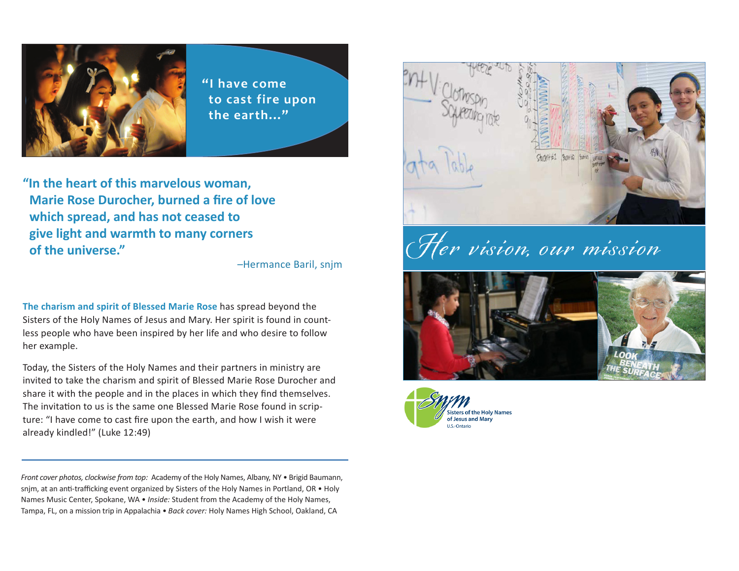

**"I have come to cast fire upon the earth..."** 

**"In the heart of this marvelous woman, Marie Rose Durocher, burned a fire of love which spread, and has not ceased to give light and warmth to many corners of the universe."** 

–Hermance Baril, snjm

**The charism and spirit of Blessed Marie Rose** has spread beyond the Sisters of the Holy Names of Jesus and Mary. Her spirit is found in countless people who have been inspired by her life and who desire to follow her example.

Today, the Sisters of the Holy Names and their partners in ministry are invited to take the charism and spirit of Blessed Marie Rose Durocher and share it with the people and in the places in which they find themselves. The invitation to us is the same one Blessed Marie Rose found in scripture: "I have come to cast fire upon the earth, and how I wish it were already kindled!" (Luke 12:49)

*Front cover photos, clockwise from top:* Academy of the Holy Names, Albany, NY • Brigid Baumann, snjm, at an anti-trafficking event organized by Sisters of the Holy Names in Portland, OR • Holy Names Music Center, Spokane, WA • *Inside:* Student from the Academy of the Holy Names, Tampa, FL, on a mission trip in Appalachia • *Back cover:* Holy Names High School, Oakland, CA



Her vision, our mission